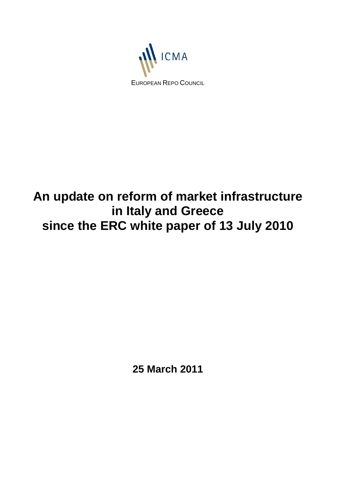

# **An update on reform of market infrastructure in Italy and Greece since the ERC white paper of 13 July 2010**

**25 March 2011**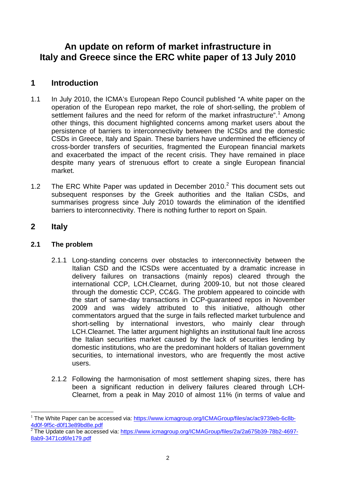## **An update on reform of market infrastructure in Italy and Greece since the ERC white paper of 13 July 2010**

## **1 Introduction**

- 1.1 In July 2010, the ICMA's European Repo Council published "A white paper on the operation of the European repo market, the role of short-selling, the problem of settlement failures and the need for reform of the market infrastructure".<sup>[1](#page-1-0)</sup> Among other things, this document highlighted concerns among market users about the persistence of barriers to interconnectivity between the ICSDs and the domestic CSDs in Greece, Italy and Spain. These barriers have undermined the efficiency of cross-border transfers of securities, fragmented the European financial markets and exacerbated the impact of the recent crisis. They have remained in place despite many years of strenuous effort to create a single European financial market.
- 1.[2](#page-1-1) The ERC White Paper was updated in December 2010. $^2$  This document sets out subsequent responses by the Greek authorities and the Italian CSDs, and summarises progress since July 2010 towards the elimination of the identified barriers to interconnectivity. There is nothing further to report on Spain.

### **2 Italy**

#### **2.1 The problem**

- 2.1.1 Long-standing concerns over obstacles to interconnectivity between the Italian CSD and the ICSDs were accentuated by a dramatic increase in delivery failures on transactions (mainly repos) cleared through the international CCP, LCH.Clearnet, during 2009-10, but not those cleared through the domestic CCP, CC&G. The problem appeared to coincide with the start of same-day transactions in CCP-guaranteed repos in November 2009 and was widely attributed to this initiative, although other commentators argued that the surge in fails reflected market turbulence and short-selling by international investors, who mainly clear through LCH.Clearnet. The latter argument highlights an institutional fault line across the Italian securities market caused by the lack of securities lending by domestic institutions, who are the predominant holders of Italian government securities, to international investors, who are frequently the most active users.
- 2.1.2 Following the harmonisation of most settlement shaping sizes, there has been a significant reduction in delivery failures cleared through LCH-Clearnet, from a peak in May 2010 of almost 11% (in terms of value and

<span id="page-1-1"></span><sup>2</sup>The Update can be accessed via: [https://www.icmagroup.org/ICMAGroup/files/2a/2a675b39-78b2-4697-](https://www.icmagroup.org/ICMAGroup/files/2a/2a675b39-78b2-4697-8ab9-3471cd6fe179.pdf) [8ab9-3471cd6fe179.pdf](https://www.icmagroup.org/ICMAGroup/files/2a/2a675b39-78b2-4697-8ab9-3471cd6fe179.pdf)

<span id="page-1-0"></span><sup>&</sup>lt;sup>1</sup> The White Paper can be accessed via: https://www.icmagroup.org/ICMAGroup/files/ac/ac9739eb-6c8b-<br>4d0f-9f5c-d0f13e89bd8e.pdf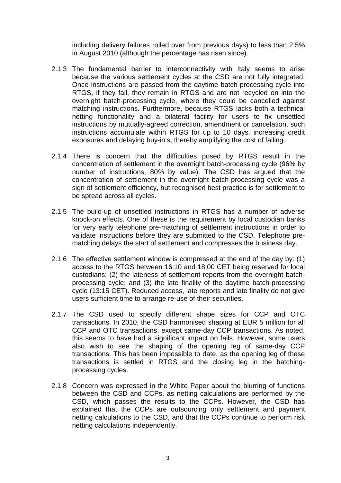including delivery failures rolled over from previous days) to less than 2.5% in August 2010 (although the percentage has risen since).

- 2.1.3 The fundamental barrier to interconnectivity with Italy seems to arise because the various settlement cycles at the CSD are not fully integrated. Once instructions are passed from the daytime batch-processing cycle into RTGS, if they fail, they remain in RTGS and are not recycled on into the overnight batch-processing cycle, where they could be cancelled against matching instructions. Furthermore, because RTGS lacks both a technical netting functionality and a bilateral facility for users to fix unsettled instructions by mutually-agreed correction, amendment or cancelation, such instructions accumulate within RTGS for up to 10 days, increasing credit exposures and delaying buy-in's, thereby amplifying the cost of failing.
- 2.1.4 There is concern that the difficulties posed by RTGS result in the concentration of settlement in the overnight batch-processing cycle (96% by number of instructions, 80% by value). The CSD has argued that the concentration of settlement in the overnight batch-processing cycle was a sign of settlement efficiency, but recognised best practice is for settlement to be spread across all cycles.
- 2.1.5 The build-up of unsettled instructions in RTGS has a number of adverse knock-on effects. One of these is the requirement by local custodian banks for very early telephone pre-matching of settlement instructions in order to validate instructions before they are submitted to the CSD. Telephone prematching delays the start of settlement and compresses the business day.
- 2.1.6 The effective settlement window is compressed at the end of the day by: (1) access to the RTGS between 16:10 and 18:00 CET being reserved for local custodians; (2) the lateness of settlement reports from the overnight batchprocessing cycle; and (3) the late finality of the daytime batch-processing cycle (13:15 CET). Reduced access, late reports and late finality do not give users sufficient time to arrange re-use of their securities.
- 2.1.7 The CSD used to specify different shape sizes for CCP and OTC transactions. In 2010, the CSD harmonised shaping at EUR 5 million for all CCP and OTC transactions, except same-day CCP transactions. As noted, this seems to have had a significant impact on fails. However, some users also wish to see the shaping of the opening leg of same-day CCP transactions. This has been impossible to date, as the opening leg of these transactions is settled in RTGS and the closing leg in the batchingprocessing cycles.
- 2.1.8 Concern was expressed in the White Paper about the blurring of functions between the CSD and CCPs, as netting calculations are performed by the CSD, which passes the results to the CCPs. However, the CSD has explained that the CCPs are outsourcing only settlement and payment netting calculations to the CSD, and that the CCPs continue to perform risk netting calculations independently.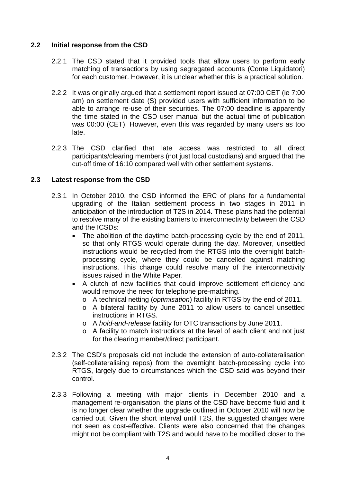#### **2.2 Initial response from the CSD**

- 2.2.1 The CSD stated that it provided tools that allow users to perform early matching of transactions by using segregated accounts (Conte Liquidatori) for each customer. However, it is unclear whether this is a practical solution.
- 2.2.2 It was originally argued that a settlement report issued at 07:00 CET (ie 7:00 am) on settlement date (S) provided users with sufficient information to be able to arrange re-use of their securities. The 07:00 deadline is apparently the time stated in the CSD user manual but the actual time of publication was 00:00 (CET). However, even this was regarded by many users as too late.
- 2.2.3 The CSD clarified that late access was restricted to all direct participants/clearing members (not just local custodians) and argued that the cut-off time of 16:10 compared well with other settlement systems.

#### **2.3 Latest response from the CSD**

- 2.3.1 In October 2010, the CSD informed the ERC of plans for a fundamental upgrading of the Italian settlement process in two stages in 2011 in anticipation of the introduction of T2S in 2014. These plans had the potential to resolve many of the existing barriers to interconnectivity between the CSD and the ICSDs:
	- The abolition of the daytime batch-processing cycle by the end of 2011, so that only RTGS would operate during the day. Moreover, unsettled instructions would be recycled from the RTGS into the overnight batchprocessing cycle, where they could be cancelled against matching instructions. This change could resolve many of the interconnectivity issues raised in the White Paper.
	- A clutch of new facilities that could improve settlement efficiency and would remove the need for telephone pre-matching.
		- o A technical netting (*optimisation*) facility in RTGS by the end of 2011.
		- o A bilateral facility by June 2011 to allow users to cancel unsettled instructions in RTGS.
		- o A *hold-and-release* facility for OTC transactions by June 2011.
		- o A facility to match instructions at the level of each client and not just for the clearing member/direct participant.
- 2.3.2 The CSD's proposals did not include the extension of auto-collateralisation (self-collateralising repos) from the overnight batch-processing cycle into RTGS, largely due to circumstances which the CSD said was beyond their control.
- 2.3.3 Following a meeting with major clients in December 2010 and a management re-organisation, the plans of the CSD have become fluid and it is no longer clear whether the upgrade outlined in October 2010 will now be carried out. Given the short interval until T2S, the suggested changes were not seen as cost-effective. Clients were also concerned that the changes might not be compliant with T2S and would have to be modified closer to the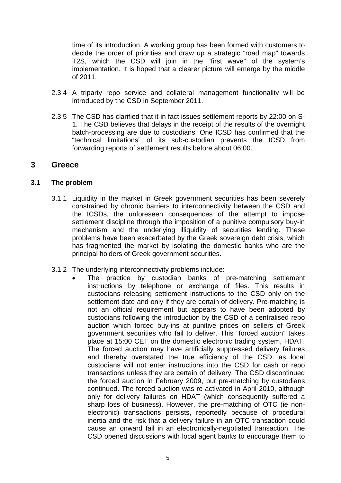time of its introduction. A working group has been formed with customers to decide the order of priorities and draw up a strategic "road map" towards T2S, which the CSD will join in the "first wave" of the system's implementation. It is hoped that a clearer picture will emerge by the middle of 2011.

- 2.3.4 A triparty repo service and collateral management functionality will be introduced by the CSD in September 2011.
- 2.3.5 The CSD has clarified that it in fact issues settlement reports by 22:00 on S-1. The CSD believes that delays in the receipt of the results of the overnight batch-processing are due to custodians. One ICSD has confirmed that the "technical limitations" of its sub-custodian prevents the ICSD from forwarding reports of settlement results before about 06:00.

#### **3 Greece**

#### **3.1 The problem**

- 3.1.1 Liquidity in the market in Greek government securities has been severely constrained by chronic barriers to interconnectivity between the CSD and the ICSDs, the unforeseen consequences of the attempt to impose settlement discipline through the imposition of a punitive compulsory buy-in mechanism and the underlying illiquidity of securities lending. These problems have been exacerbated by the Greek sovereign debt crisis, which has fragmented the market by isolating the domestic banks who are the principal holders of Greek government securities.
- 3.1.2 The underlying interconnectivity problems include:
	- The practice by custodian banks of pre-matching settlement instructions by telephone or exchange of files. This results in custodians releasing settlement instructions to the CSD only on the settlement date and only if they are certain of delivery. Pre-matching is not an official requirement but appears to have been adopted by custodians following the introduction by the CSD of a centralised repo auction which forced buy-ins at punitive prices on sellers of Greek government securities who fail to deliver. This "forced auction" takes place at 15:00 CET on the domestic electronic trading system, HDAT. The forced auction may have artificially suppressed delivery failures and thereby overstated the true efficiency of the CSD, as local custodians will not enter instructions into the CSD for cash or repo transactions unless they are certain of delivery. The CSD discontinued the forced auction in February 2009, but pre-matching by custodians continued. The forced auction was re-activated in April 2010, although only for delivery failures on HDAT (which consequently suffered a sharp loss of business). However, the pre-matching of OTC (ie nonelectronic) transactions persists, reportedly because of procedural inertia and the risk that a delivery failure in an OTC transaction could cause an onward fail in an electronically-negotiated transaction. The CSD opened discussions with local agent banks to encourage them to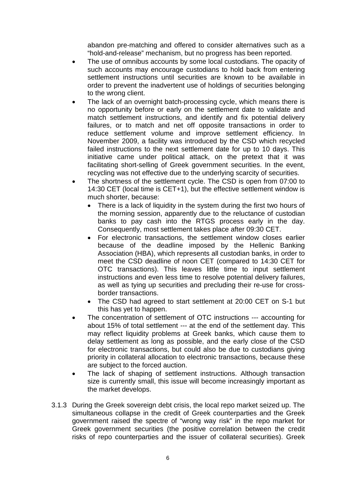abandon pre-matching and offered to consider alternatives such as a "hold-and-release" mechanism, but no progress has been reported.

- The use of omnibus accounts by some local custodians. The opacity of such accounts may encourage custodians to hold back from entering settlement instructions until securities are known to be available in order to prevent the inadvertent use of holdings of securities belonging to the wrong client.
- The lack of an overnight batch-processing cycle, which means there is no opportunity before or early on the settlement date to validate and match settlement instructions, and identify and fix potential delivery failures, or to match and net off opposite transactions in order to reduce settlement volume and improve settlement efficiency. In November 2009, a facility was introduced by the CSD which recycled failed instructions to the next settlement date for up to 10 days. This initiative came under political attack, on the pretext that it was facilitating short-selling of Greek government securities. In the event, recycling was not effective due to the underlying scarcity of securities.
- The shortness of the settlement cycle. The CSD is open from 07:00 to 14:30 CET (local time is CET+1), but the effective settlement window is much shorter, because:
	- There is a lack of liquidity in the system during the first two hours of the morning session, apparently due to the reluctance of custodian banks to pay cash into the RTGS process early in the day. Consequently, most settlement takes place after 09:30 CET.
	- For electronic transactions, the settlement window closes earlier because of the deadline imposed by the Hellenic Banking Association (HBA), which represents all custodian banks, in order to meet the CSD deadline of noon CET (compared to 14:30 CET for OTC transactions). This leaves little time to input settlement instructions and even less time to resolve potential delivery failures, as well as tying up securities and precluding their re-use for crossborder transactions.
	- The CSD had agreed to start settlement at 20:00 CET on S-1 but this has yet to happen.
- The concentration of settlement of OTC instructions --- accounting for about 15% of total settlement --- at the end of the settlement day. This may reflect liquidity problems at Greek banks, which cause them to delay settlement as long as possible, and the early close of the CSD for electronic transactions, but could also be due to custodians giving priority in collateral allocation to electronic transactions, because these are subject to the forced auction.
- The lack of shaping of settlement instructions. Although transaction size is currently small, this issue will become increasingly important as the market develops.
- 3.1.3 During the Greek sovereign debt crisis, the local repo market seized up. The simultaneous collapse in the credit of Greek counterparties and the Greek government raised the spectre of "wrong way risk" in the repo market for Greek government securities (the positive correlation between the credit risks of repo counterparties and the issuer of collateral securities). Greek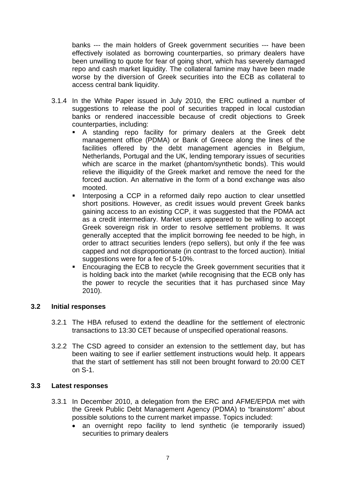banks --- the main holders of Greek government securities --- have been effectively isolated as borrowing counterparties, so primary dealers have been unwilling to quote for fear of going short, which has severely damaged repo and cash market liquidity. The collateral famine may have been made worse by the diversion of Greek securities into the ECB as collateral to access central bank liquidity.

- 3.1.4 In the White Paper issued in July 2010, the ERC outlined a number of suggestions to release the pool of securities trapped in local custodian banks or rendered inaccessible because of credit objections to Greek counterparties, including:
	- A standing repo facility for primary dealers at the Greek debt management office (PDMA) or Bank of Greece along the lines of the facilities offered by the debt management agencies in Belgium, Netherlands, Portugal and the UK, lending temporary issues of securities which are scarce in the market (phantom/synthetic bonds). This would relieve the illiquidity of the Greek market and remove the need for the forced auction. An alternative in the form of a bond exchange was also mooted.
	- Interposing a CCP in a reformed daily repo auction to clear unsettled short positions. However, as credit issues would prevent Greek banks gaining access to an existing CCP, it was suggested that the PDMA act as a credit intermediary. Market users appeared to be willing to accept Greek sovereign risk in order to resolve settlement problems. It was generally accepted that the implicit borrowing fee needed to be high, in order to attract securities lenders (repo sellers), but only if the fee was capped and not disproportionate (in contrast to the forced auction). Initial suggestions were for a fee of 5-10%.
	- Encouraging the ECB to recycle the Greek government securities that it is holding back into the market (while recognising that the ECB only has the power to recycle the securities that it has purchased since May 2010).

#### **3.2 Initial responses**

- 3.2.1 The HBA refused to extend the deadline for the settlement of electronic transactions to 13:30 CET because of unspecified operational reasons.
- 3.2.2 The CSD agreed to consider an extension to the settlement day, but has been waiting to see if earlier settlement instructions would help. It appears that the start of settlement has still not been brought forward to 20:00 CET on S-1.

#### **3.3 Latest responses**

- 3.3.1 In December 2010, a delegation from the ERC and AFME/EPDA met with the Greek Public Debt Management Agency (PDMA) to "brainstorm" about possible solutions to the current market impasse. Topics included:
	- an overnight repo facility to lend synthetic (ie temporarily issued) securities to primary dealers